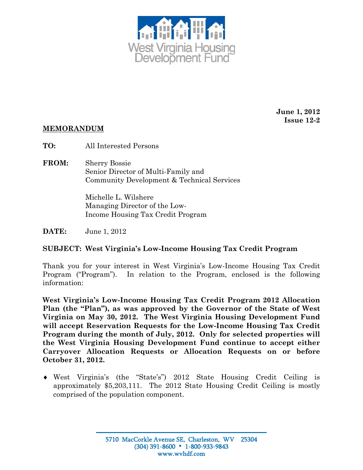

**June 1, 2012 Issue 12-2** 

## **MEMORANDUM**

**TO:** All Interested Persons

**FROM:** Sherry Bossie Senior Director of Multi-Family and Community Development & Technical Services

> Michelle L. Wilshere Managing Director of the Low-Income Housing Tax Credit Program

**DATE:** June 1, 2012

## **SUBJECT: West Virginia's Low-Income Housing Tax Credit Program**

Thank you for your interest in West Virginia's Low-Income Housing Tax Credit Program ("Program"). In relation to the Program, enclosed is the following information:

**West Virginia's Low-Income Housing Tax Credit Program 2012 Allocation Plan (the "Plan"), as was approved by the Governor of the State of West Virginia on May 30, 2012. The West Virginia Housing Development Fund will accept Reservation Requests for the Low-Income Housing Tax Credit Program during the month of July, 2012. Only for selected properties will the West Virginia Housing Development Fund continue to accept either Carryover Allocation Requests or Allocation Requests on or before October 31, 2012.** 

♦ West Virginia's (the "State's") 2012 State Housing Credit Ceiling is approximately \$5,203,111. The 2012 State Housing Credit Ceiling is mostly comprised of the population component.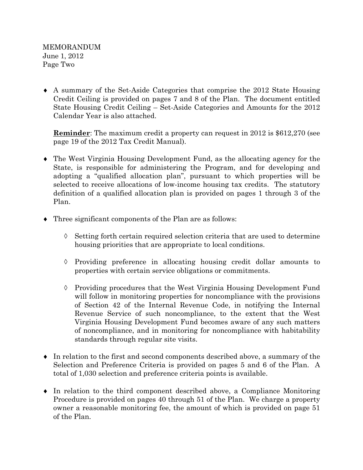MEMORANDUM June 1, 2012 Page Two

♦ A summary of the Set-Aside Categories that comprise the 2012 State Housing Credit Ceiling is provided on pages 7 and 8 of the Plan. The document entitled State Housing Credit Ceiling – Set-Aside Categories and Amounts for the 2012 Calendar Year is also attached.

**Reminder**: The maximum credit a property can request in 2012 is \$612,270 (see page 19 of the 2012 Tax Credit Manual).

- ♦ The West Virginia Housing Development Fund, as the allocating agency for the State, is responsible for administering the Program, and for developing and adopting a "qualified allocation plan", pursuant to which properties will be selected to receive allocations of low-income housing tax credits. The statutory definition of a qualified allocation plan is provided on pages 1 through 3 of the Plan.
- ♦ Three significant components of the Plan are as follows:
	- ◊ Setting forth certain required selection criteria that are used to determine housing priorities that are appropriate to local conditions.
	- $\Diamond$  Providing preference in allocating housing credit dollar amounts to properties with certain service obligations or commitments.
	- ◊ Providing procedures that the West Virginia Housing Development Fund will follow in monitoring properties for noncompliance with the provisions of Section 42 of the Internal Revenue Code, in notifying the Internal Revenue Service of such noncompliance, to the extent that the West Virginia Housing Development Fund becomes aware of any such matters of noncompliance, and in monitoring for noncompliance with habitability standards through regular site visits.
- ♦ In relation to the first and second components described above, a summary of the Selection and Preference Criteria is provided on pages 5 and 6 of the Plan. A total of 1,030 selection and preference criteria points is available.
- ♦ In relation to the third component described above, a Compliance Monitoring Procedure is provided on pages 40 through 51 of the Plan. We charge a property owner a reasonable monitoring fee, the amount of which is provided on page 51 of the Plan.